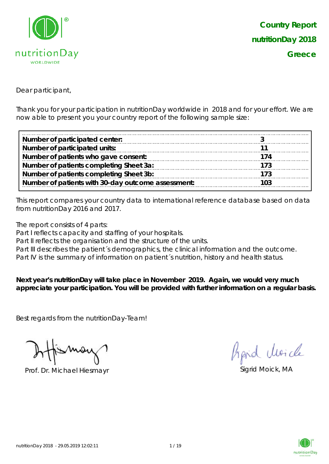

Dear participant,

Thank you for your participation in nutritionDay worldwide in 2018 and for your effort. We are now able to present you your country report of the following sample size:

| Number of participated center:                     |     |
|----------------------------------------------------|-----|
| Number of participated units:                      |     |
| Number of patients who gave consent:               | 174 |
| Number of patients completing Sheet 3a:            | 173 |
| Number of patients completing Sheet 3b:            | 173 |
| Number of patients with 30-day outcome assessment: | 103 |

This report compares your country data to international reference database based on data from nutritionDay 2016 and 2017.

The report consists of 4 parts:

Part I reflects capacity and staffing of your hospitals.

Part II reflects the organisation and the structure of the units.

Part III describes the patient's demographics, the clinical information and the outcome.

Part IV is the summary of information on patient's nutrition, history and health status.

**Next year's nutritionDay will take place in November 2019. Again, we would very much appreciate your participation. You will be provided with further information on a regular basis.**

Best regards from the nutritionDay-Team!

Prof. Dr. Michael Hiesmayr Sigrid Moick, MA

hard cluricle

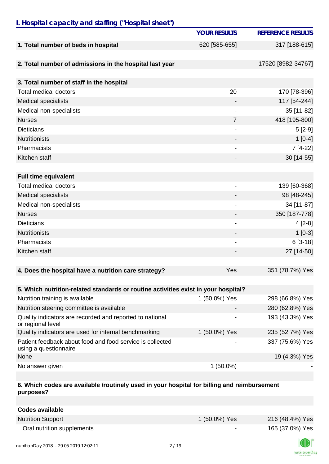### *I. Hospital capacity and staffing ("Hospital sheet")*

|                                                                                    | <b>YOUR RESULTS</b>      | <b>REFERENCE RESULTS</b> |
|------------------------------------------------------------------------------------|--------------------------|--------------------------|
| 1. Total number of beds in hospital                                                | 620 [585-655]            | 317 [188-615]            |
|                                                                                    |                          |                          |
| 2. Total number of admissions in the hospital last year                            |                          | 17520 [8982-34767]       |
|                                                                                    |                          |                          |
| 3. Total number of staff in the hospital                                           |                          |                          |
| <b>Total medical doctors</b>                                                       | 20                       | 170 [78-396]             |
| <b>Medical specialists</b>                                                         |                          | 117 [54-244]             |
| Medical non-specialists                                                            | $\overline{\phantom{a}}$ | 35 [11-82]               |
| <b>Nurses</b>                                                                      | $\overline{7}$           | 418 [195-800]            |
| <b>Dieticians</b>                                                                  |                          | $5[2-9]$                 |
| <b>Nutritionists</b>                                                               |                          | $1[0-4]$                 |
| Pharmacists                                                                        |                          | 7 [4-22]                 |
| Kitchen staff                                                                      |                          | 30 [14-55]               |
|                                                                                    |                          |                          |
| <b>Full time equivalent</b>                                                        |                          |                          |
| <b>Total medical doctors</b>                                                       | $\overline{\phantom{a}}$ | 139 [60-368]             |
| <b>Medical specialists</b>                                                         |                          | 98 [48-245]              |
| Medical non-specialists                                                            |                          | 34 [11-87]               |
| <b>Nurses</b>                                                                      |                          | 350 [187-778]            |
| <b>Dieticians</b>                                                                  |                          | $4[2-8]$                 |
| <b>Nutritionists</b>                                                               |                          | $1[0-3]$                 |
| Pharmacists                                                                        | $\overline{\phantom{a}}$ | $6[3-18]$                |
| Kitchen staff                                                                      |                          | 27 [14-50]               |
|                                                                                    |                          |                          |
| 4. Does the hospital have a nutrition care strategy?                               | Yes                      | 351 (78.7%) Yes          |
|                                                                                    |                          |                          |
| 5. Which nutrition-related standards or routine activities exist in your hospital? |                          |                          |
| Nutrition training is available                                                    | 1 (50.0%) Yes            | 298 (66.8%) Yes          |
| Nutrition steering committee is available                                          |                          | 280 (62.8%) Yes          |
| Quality indicators are recorded and reported to national<br>or regional level      |                          | 193 (43.3%) Yes          |
| Quality indicators are used for internal benchmarking                              | 1 (50.0%) Yes            | 235 (52.7%) Yes          |
| Patient feedback about food and food service is collected<br>using a questionnaire | -                        | 337 (75.6%) Yes          |
| None                                                                               |                          | 19 (4.3%) Yes            |
| No answer given                                                                    | $1(50.0\%)$              |                          |

#### **6. Which codes are available /routinely used in your hospital for billing and reimbursement purposes?**

| <b>Codes available</b>     |                          |                 |
|----------------------------|--------------------------|-----------------|
| <b>Nutrition Support</b>   | 1 (50.0%) Yes            | 216 (48.4%) Yes |
| Oral nutrition supplements | $\overline{\phantom{0}}$ | 165 (37.0%) Yes |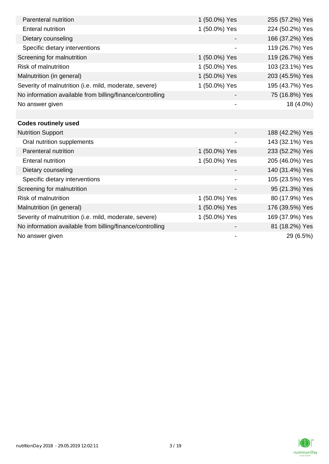| Parenteral nutrition                                      | 1 (50.0%) Yes | 255 (57.2%) Yes |
|-----------------------------------------------------------|---------------|-----------------|
| <b>Enteral nutrition</b>                                  | 1 (50.0%) Yes | 224 (50.2%) Yes |
| Dietary counseling                                        |               | 166 (37.2%) Yes |
| Specific dietary interventions                            |               | 119 (26.7%) Yes |
| Screening for malnutrition                                | 1 (50.0%) Yes | 119 (26.7%) Yes |
| <b>Risk of malnutrition</b>                               | 1 (50.0%) Yes | 103 (23.1%) Yes |
| Malnutrition (in general)                                 | 1 (50.0%) Yes | 203 (45.5%) Yes |
| Severity of malnutrition (i.e. mild, moderate, severe)    | 1 (50.0%) Yes | 195 (43.7%) Yes |
| No information available from billing/finance/controlling |               | 75 (16.8%) Yes  |
| No answer given                                           |               | 18 (4.0%)       |
|                                                           |               |                 |
| <b>Codes routinely used</b>                               |               |                 |
| <b>Nutrition Support</b>                                  |               | 188 (42.2%) Yes |
| Oral nutrition supplements                                |               | 143 (32.1%) Yes |
| Parenteral nutrition                                      | 1 (50.0%) Yes | 233 (52.2%) Yes |
| <b>Enteral nutrition</b>                                  | 1 (50.0%) Yes | 205 (46.0%) Yes |
| Dietary counseling                                        |               | 140 (31.4%) Yes |
| Specific dietary interventions                            |               | 105 (23.5%) Yes |
| Screening for malnutrition                                |               | 95 (21.3%) Yes  |
| <b>Risk of malnutrition</b>                               | 1 (50.0%) Yes | 80 (17.9%) Yes  |
| Malnutrition (in general)                                 | 1 (50.0%) Yes | 176 (39.5%) Yes |
| Severity of malnutrition (i.e. mild, moderate, severe)    | 1 (50.0%) Yes | 169 (37.9%) Yes |
| No information available from billing/finance/controlling |               | 81 (18.2%) Yes  |
| No answer given                                           |               | 29 (6.5%)       |

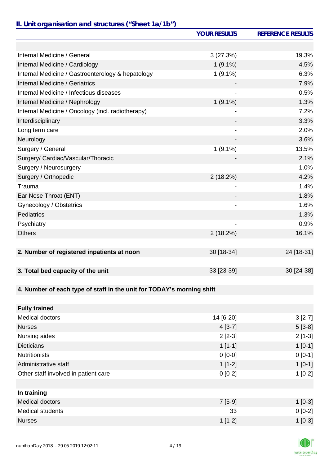# *II. Unit organisation and structures ("Sheet 1a/1b")*

|                                                                       | <b>YOUR RESULTS</b>          | <b>REFERENCE RESULTS</b> |
|-----------------------------------------------------------------------|------------------------------|--------------------------|
|                                                                       |                              |                          |
| Internal Medicine / General                                           | 3(27.3%)                     | 19.3%                    |
| Internal Medicine / Cardiology                                        | $1(9.1\%)$                   | 4.5%                     |
| Internal Medicine / Gastroenterology & hepatology                     | $1(9.1\%)$                   | 6.3%                     |
| <b>Internal Medicine / Geriatrics</b>                                 |                              | 7.9%                     |
| Internal Medicine / Infectious diseases                               |                              | 0.5%                     |
| Internal Medicine / Nephrology                                        | $1(9.1\%)$                   | 1.3%                     |
| Internal Medicine / Oncology (incl. radiotherapy)                     |                              | 7.2%                     |
| Interdisciplinary                                                     |                              | 3.3%                     |
| Long term care                                                        |                              | 2.0%                     |
| Neurology                                                             |                              | 3.6%                     |
| Surgery / General                                                     | $1(9.1\%)$                   | 13.5%                    |
| Surgery/ Cardiac/Vascular/Thoracic                                    |                              | 2.1%                     |
| Surgery / Neurosurgery                                                |                              | 1.0%                     |
| Surgery / Orthopedic                                                  | 2(18.2%)                     | 4.2%                     |
| Trauma                                                                |                              | 1.4%                     |
| Ear Nose Throat (ENT)                                                 |                              | 1.8%                     |
| Gynecology / Obstetrics                                               | $\qquad \qquad \blacksquare$ | 1.6%                     |
| Pediatrics                                                            |                              | 1.3%                     |
| Psychiatry                                                            |                              | 0.9%                     |
| <b>Others</b>                                                         | 2(18.2%)                     | 16.1%                    |
|                                                                       |                              |                          |
| 2. Number of registered inpatients at noon                            | 30 [18-34]                   | 24 [18-31]               |
|                                                                       |                              |                          |
| 3. Total bed capacity of the unit                                     | 33 [23-39]                   | 30 [24-38]               |
|                                                                       |                              |                          |
| 4. Number of each type of staff in the unit for TODAY's morning shift |                              |                          |
|                                                                       |                              |                          |
| <b>Fully trained</b>                                                  |                              |                          |
| <b>Medical doctors</b>                                                | 14 [6-20]                    | $3[2-7]$                 |
| <b>Nurses</b>                                                         | $4[3-7]$                     | $5[3-8]$                 |
| Nursing aides                                                         | $2[2-3]$                     | $2[1-3]$                 |
| <b>Dieticians</b>                                                     | $1[1-1]$                     | $1[0-1]$                 |
| <b>Nutritionists</b>                                                  | $0[0-0]$                     | $0[0-1]$                 |
| Administrative staff                                                  | $1[1-2]$                     | $1[0-1]$                 |
| Other staff involved in patient care                                  | $0[0-2]$                     | $1[0-2]$                 |
|                                                                       |                              |                          |
| In training                                                           |                              |                          |
| <b>Medical doctors</b>                                                | $7[5-9]$                     | $1[0-3]$                 |
| <b>Medical students</b>                                               | 33                           | $0[0-2]$                 |
| <b>Nurses</b>                                                         | $1[1-2]$                     | $1[0-3]$                 |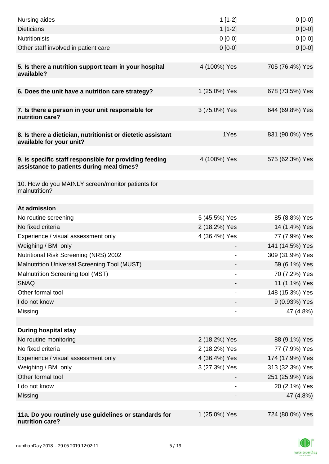| Nursing aides                                                                                       | $1[1-2]$                     | $0[0-0]$        |
|-----------------------------------------------------------------------------------------------------|------------------------------|-----------------|
| <b>Dieticians</b>                                                                                   | $1[1-2]$                     | $0[0-0]$        |
| <b>Nutritionists</b>                                                                                | $0[0-0]$                     | $0[0-0]$        |
| Other staff involved in patient care                                                                | $0[0-0]$                     | $0 [0-0]$       |
|                                                                                                     |                              |                 |
| 5. Is there a nutrition support team in your hospital<br>available?                                 | 4 (100%) Yes                 | 705 (76.4%) Yes |
| 6. Does the unit have a nutrition care strategy?                                                    | 1 (25.0%) Yes                | 678 (73.5%) Yes |
| 7. Is there a person in your unit responsible for<br>nutrition care?                                | 3 (75.0%) Yes                | 644 (69.8%) Yes |
| 8. Is there a dietician, nutritionist or dietetic assistant<br>available for your unit?             | 1Yes                         | 831 (90.0%) Yes |
| 9. Is specific staff responsible for providing feeding<br>assistance to patients during meal times? | 4 (100%) Yes                 | 575 (62.3%) Yes |
| 10. How do you MAINLY screen/monitor patients for<br>malnutrition?                                  |                              |                 |
| At admission                                                                                        |                              |                 |
| No routine screening                                                                                | 5 (45.5%) Yes                | 85 (8.8%) Yes   |
| No fixed criteria                                                                                   | 2 (18.2%) Yes                | 14 (1.4%) Yes   |
| Experience / visual assessment only                                                                 | 4 (36.4%) Yes                | 77 (7.9%) Yes   |
| Weighing / BMI only                                                                                 |                              | 141 (14.5%) Yes |
| Nutritional Risk Screening (NRS) 2002                                                               |                              | 309 (31.9%) Yes |
| Malnutrition Universal Screening Tool (MUST)                                                        |                              | 59 (6.1%) Yes   |
| Malnutrition Screening tool (MST)                                                                   |                              | 70 (7.2%) Yes   |
| <b>SNAQ</b>                                                                                         |                              | 11 (1.1%) Yes   |
| Other formal tool                                                                                   |                              | 148 (15.3%) Yes |
| I do not know                                                                                       |                              | 9 (0.93%) Yes   |
| Missing                                                                                             | $\qquad \qquad \blacksquare$ | 47 (4.8%)       |
|                                                                                                     |                              |                 |
| <b>During hospital stay</b>                                                                         |                              |                 |
| No routine monitoring                                                                               | 2 (18.2%) Yes                | 88 (9.1%) Yes   |
| No fixed criteria                                                                                   | 2 (18.2%) Yes                | 77 (7.9%) Yes   |
| Experience / visual assessment only                                                                 | 4 (36.4%) Yes                | 174 (17.9%) Yes |
| Weighing / BMI only                                                                                 | 3 (27.3%) Yes                | 313 (32.3%) Yes |
| Other formal tool                                                                                   |                              | 251 (25.9%) Yes |
| I do not know                                                                                       |                              | 20 (2.1%) Yes   |
| Missing                                                                                             |                              | 47 (4.8%)       |
|                                                                                                     |                              |                 |
| 11a. Do you routinely use guidelines or standards for<br>nutrition care?                            | 1 (25.0%) Yes                | 724 (80.0%) Yes |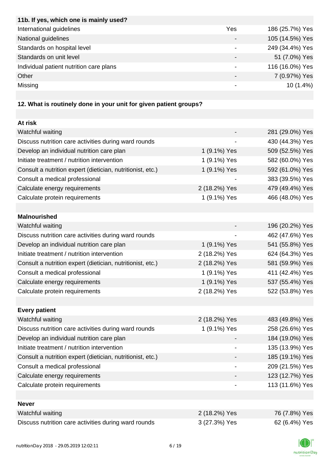| 11b. If yes, which one is mainly used?  |      |                 |
|-----------------------------------------|------|-----------------|
| International guidelines                | Yes  | 186 (25.7%) Yes |
| National guidelines                     |      | 105 (14.5%) Yes |
| Standards on hospital level             | $\,$ | 249 (34.4%) Yes |
| Standards on unit level                 |      | 51 (7.0%) Yes   |
| Individual patient nutrition care plans |      | 116 (16.0%) Yes |
| Other                                   |      | 7 (0.97%) Yes   |
| Missing                                 |      | $10(1.4\%)$     |
|                                         |      |                 |

# **12. What is routinely done in your unit for given patient groups?**

| At risk                                                    |               |                 |
|------------------------------------------------------------|---------------|-----------------|
| Watchful waiting                                           |               | 281 (29.0%) Yes |
| Discuss nutrition care activities during ward rounds       |               | 430 (44.3%) Yes |
| Develop an individual nutrition care plan                  | 1 (9.1%) Yes  | 509 (52.5%) Yes |
| Initiate treatment / nutrition intervention                | 1 (9.1%) Yes  | 582 (60.0%) Yes |
| Consult a nutrition expert (dietician, nutritionist, etc.) | 1 (9.1%) Yes  | 592 (61.0%) Yes |
| Consult a medical professional                             |               | 383 (39.5%) Yes |
| Calculate energy requirements                              | 2 (18.2%) Yes | 479 (49.4%) Yes |
| Calculate protein requirements                             | 1 (9.1%) Yes  | 466 (48.0%) Yes |
|                                                            |               |                 |
| <b>Malnourished</b>                                        |               |                 |
| Watchful waiting                                           |               | 196 (20.2%) Yes |
| Discuss nutrition care activities during ward rounds       |               | 462 (47.6%) Yes |
| Develop an individual nutrition care plan                  | 1 (9.1%) Yes  | 541 (55.8%) Yes |
| Initiate treatment / nutrition intervention                | 2 (18.2%) Yes | 624 (64.3%) Yes |
| Consult a nutrition expert (dietician, nutritionist, etc.) | 2 (18.2%) Yes | 581 (59.9%) Yes |
| Consult a medical professional                             | 1 (9.1%) Yes  | 411 (42.4%) Yes |
| Calculate energy requirements                              | 1 (9.1%) Yes  | 537 (55.4%) Yes |
| Calculate protein requirements                             | 2 (18.2%) Yes | 522 (53.8%) Yes |
|                                                            |               |                 |
| <b>Every patient</b>                                       |               |                 |
| Watchful waiting                                           | 2 (18.2%) Yes | 483 (49.8%) Yes |
| Discuss nutrition care activities during ward rounds       | 1 (9.1%) Yes  | 258 (26.6%) Yes |
| Develop an individual nutrition care plan                  |               | 184 (19.0%) Yes |
| Initiate treatment / nutrition intervention                |               | 135 (13.9%) Yes |
| Consult a nutrition expert (dietician, nutritionist, etc.) |               | 185 (19.1%) Yes |
| Consult a medical professional                             |               | 209 (21.5%) Yes |
| Calculate energy requirements                              |               | 123 (12.7%) Yes |
| Calculate protein requirements                             |               | 113 (11.6%) Yes |
|                                                            |               |                 |
| <b>Never</b>                                               |               |                 |
| Watchful waiting                                           | 2 (18.2%) Yes | 76 (7.8%) Yes   |
| Discuss nutrition care activities during ward rounds       | 3 (27.3%) Yes | 62 (6.4%) Yes   |

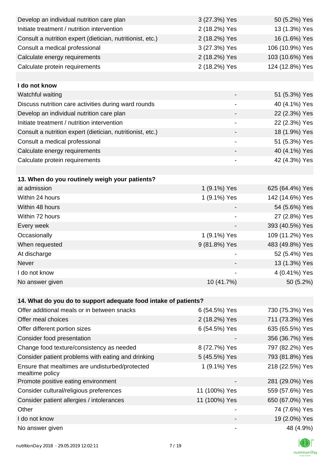| Develop an individual nutrition care plan                          | 3 (27.3%) Yes                | 50 (5.2%) Yes   |
|--------------------------------------------------------------------|------------------------------|-----------------|
| Initiate treatment / nutrition intervention                        | 2 (18.2%) Yes                | 13 (1.3%) Yes   |
| Consult a nutrition expert (dietician, nutritionist, etc.)         | 2 (18.2%) Yes                | 16 (1.6%) Yes   |
| Consult a medical professional                                     | 3 (27.3%) Yes                | 106 (10.9%) Yes |
| Calculate energy requirements                                      | 2 (18.2%) Yes                | 103 (10.6%) Yes |
| Calculate protein requirements                                     | 2 (18.2%) Yes                | 124 (12.8%) Yes |
|                                                                    |                              |                 |
| I do not know                                                      |                              |                 |
| Watchful waiting                                                   |                              | 51 (5.3%) Yes   |
| Discuss nutrition care activities during ward rounds               |                              | 40 (4.1%) Yes   |
| Develop an individual nutrition care plan                          |                              | 22 (2.3%) Yes   |
| Initiate treatment / nutrition intervention                        | $\qquad \qquad \blacksquare$ | 22 (2.3%) Yes   |
| Consult a nutrition expert (dietician, nutritionist, etc.)         |                              | 18 (1.9%) Yes   |
| Consult a medical professional                                     | $\overline{\phantom{a}}$     | 51 (5.3%) Yes   |
| Calculate energy requirements                                      |                              | 40 (4.1%) Yes   |
| Calculate protein requirements                                     | $\overline{\phantom{0}}$     | 42 (4.3%) Yes   |
|                                                                    |                              |                 |
| 13. When do you routinely weigh your patients?                     |                              |                 |
| at admission                                                       | 1 (9.1%) Yes                 | 625 (64.4%) Yes |
| Within 24 hours                                                    | 1 (9.1%) Yes                 | 142 (14.6%) Yes |
| Within 48 hours                                                    |                              | 54 (5.6%) Yes   |
| Within 72 hours                                                    |                              | 27 (2.8%) Yes   |
| Every week                                                         | $\overline{\phantom{a}}$     | 393 (40.5%) Yes |
| Occasionally                                                       | 1 (9.1%) Yes                 | 109 (11.2%) Yes |
| When requested                                                     | 9 (81.8%) Yes                | 483 (49.8%) Yes |
| At discharge                                                       |                              | 52 (5.4%) Yes   |
| Never                                                              |                              | 13 (1.3%) Yes   |
| I do not know                                                      |                              | 4 (0.41%) Yes   |
| No answer given                                                    | 10 (41.7%)                   | 50 (5.2%)       |
|                                                                    |                              |                 |
| 14. What do you do to support adequate food intake of patients?    |                              |                 |
| Offer additional meals or in between snacks                        | 6 (54.5%) Yes                | 730 (75.3%) Yes |
| Offer meal choices                                                 | 2 (18.2%) Yes                | 711 (73.3%) Yes |
| Offer different portion sizes                                      | 6 (54.5%) Yes                | 635 (65.5%) Yes |
| Consider food presentation                                         |                              | 356 (36.7%) Yes |
| Change food texture/consistency as needed                          | 8 (72.7%) Yes                | 797 (82.2%) Yes |
| Consider patient problems with eating and drinking                 | 5 (45.5%) Yes                | 793 (81.8%) Yes |
| Ensure that mealtimes are undisturbed/protected<br>mealtime policy | 1 (9.1%) Yes                 | 218 (22.5%) Yes |
| Promote positive eating environment                                |                              | 281 (29.0%) Yes |
| Consider cultural/religious preferences                            | 11 (100%) Yes                | 559 (57.6%) Yes |
| Consider patient allergies / intolerances                          | 11 (100%) Yes                | 650 (67.0%) Yes |
| Other                                                              |                              | 74 (7.6%) Yes   |
| I do not know                                                      |                              | 19 (2.0%) Yes   |
| No answer given                                                    |                              | 48 (4.9%)       |

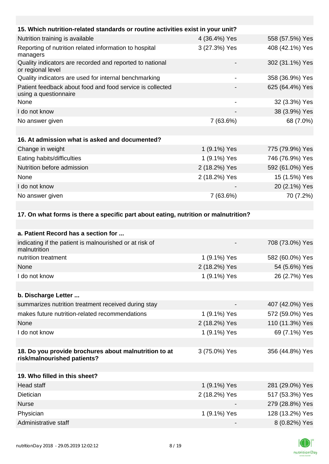| 15. Which nutrition-related standards or routine activities exist in your unit?      |                              |                 |
|--------------------------------------------------------------------------------------|------------------------------|-----------------|
| Nutrition training is available                                                      | 4 (36.4%) Yes                | 558 (57.5%) Yes |
| Reporting of nutrition related information to hospital<br>managers                   | 3 (27.3%) Yes                | 408 (42.1%) Yes |
| Quality indicators are recorded and reported to national<br>or regional level        |                              | 302 (31.1%) Yes |
| Quality indicators are used for internal benchmarking                                | $\overline{\phantom{a}}$     | 358 (36.9%) Yes |
| Patient feedback about food and food service is collected<br>using a questionnaire   |                              | 625 (64.4%) Yes |
| None                                                                                 | $\qquad \qquad \blacksquare$ | 32 (3.3%) Yes   |
| I do not know                                                                        |                              | 38 (3.9%) Yes   |
| No answer given                                                                      | 7 (63.6%)                    | 68 (7.0%)       |
|                                                                                      |                              |                 |
| 16. At admission what is asked and documented?                                       |                              |                 |
| Change in weight                                                                     | 1 (9.1%) Yes                 | 775 (79.9%) Yes |
| Eating habits/difficulties                                                           | 1 (9.1%) Yes                 | 746 (76.9%) Yes |
| Nutrition before admission                                                           | 2 (18.2%) Yes                | 592 (61.0%) Yes |
| None                                                                                 | 2 (18.2%) Yes                | 15 (1.5%) Yes   |
| I do not know                                                                        |                              | 20 (2.1%) Yes   |
| No answer given                                                                      | 7 (63.6%)                    | 70 (7.2%)       |
|                                                                                      |                              |                 |
| 17. On what forms is there a specific part about eating, nutrition or malnutrition?  |                              |                 |
| a. Patient Record has a section for                                                  |                              |                 |
| indicating if the patient is malnourished or at risk of<br>malnutrition              |                              | 708 (73.0%) Yes |
| nutrition treatment                                                                  | 1 (9.1%) Yes                 | 582 (60.0%) Yes |
| None                                                                                 | 2 (18.2%) Yes                | 54 (5.6%) Yes   |
| I do not know                                                                        | 1 (9.1%) Yes                 | 26 (2.7%) Yes   |
|                                                                                      |                              |                 |
| b. Discharge Letter                                                                  |                              |                 |
| summarizes nutrition treatment received during stay                                  |                              | 407 (42.0%) Yes |
| makes future nutrition-related recommendations                                       | 1 (9.1%) Yes                 | 572 (59.0%) Yes |
| None                                                                                 | 2 (18.2%) Yes                | 110 (11.3%) Yes |
| I do not know                                                                        | 1 (9.1%) Yes                 | 69 (7.1%) Yes   |
|                                                                                      |                              |                 |
| 18. Do you provide brochures about malnutrition to at<br>risk/malnourished patients? | 3 (75.0%) Yes                | 356 (44.8%) Yes |
|                                                                                      |                              |                 |
| 19. Who filled in this sheet?                                                        |                              |                 |
| <b>Head staff</b>                                                                    | 1 (9.1%) Yes                 | 281 (29.0%) Yes |
| Dietician                                                                            | 2 (18.2%) Yes                | 517 (53.3%) Yes |
| <b>Nurse</b>                                                                         |                              | 279 (28.8%) Yes |

 $\circledR$ nutritionDay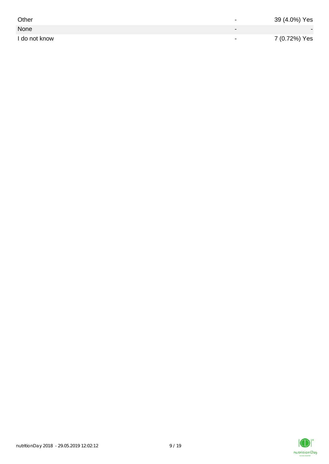| Other         | $\overline{\phantom{0}}$ | 39 (4.0%) Yes |
|---------------|--------------------------|---------------|
| None          |                          |               |
| I do not know | $\,$                     | 7 (0.72%) Yes |

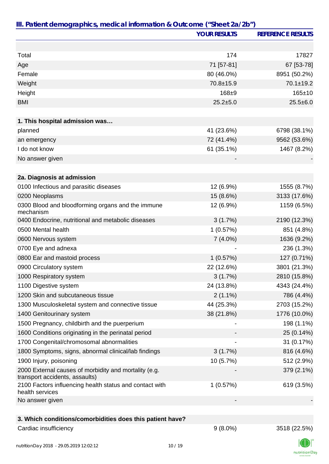|                                                                                         | <b>YOUR RESULTS</b> | <b>REFERENCE RESULTS</b> |
|-----------------------------------------------------------------------------------------|---------------------|--------------------------|
|                                                                                         |                     |                          |
| Total                                                                                   | 174                 | 17827                    |
| Age                                                                                     | 71 [57-81]          | 67 [53-78]               |
| Female                                                                                  | 80 (46.0%)          | 8951 (50.2%)             |
| Weight                                                                                  | 70.8±15.9           | $70.1 \pm 19.2$          |
| Height                                                                                  | 168±9               | 165±10                   |
| <b>BMI</b>                                                                              | $25.2 + 5.0$        | $25.5 \pm 6.0$           |
|                                                                                         |                     |                          |
| 1. This hospital admission was                                                          |                     |                          |
| planned                                                                                 | 41 (23.6%)          | 6798 (38.1%)             |
| an emergency                                                                            | 72 (41.4%)          | 9562 (53.6%)             |
| I do not know                                                                           | 61 (35.1%)          | 1467 (8.2%)              |
| No answer given                                                                         |                     |                          |
| 2a. Diagnosis at admission                                                              |                     |                          |
| 0100 Infectious and parasitic diseases                                                  | 12 (6.9%)           | 1555 (8.7%)              |
| 0200 Neoplasms                                                                          | 15 (8.6%)           | 3133 (17.6%)             |
| 0300 Blood and bloodforming organs and the immune                                       | 12 (6.9%)           | 1159 (6.5%)              |
| mechanism                                                                               |                     |                          |
| 0400 Endocrine, nutritional and metabolic diseases                                      | 3(1.7%)             | 2190 (12.3%)             |
| 0500 Mental health                                                                      | 1(0.57%)            | 851 (4.8%)               |
| 0600 Nervous system                                                                     | $7(4.0\%)$          | 1636 (9.2%)              |
| 0700 Eye and adnexa                                                                     |                     | 236 (1.3%)               |
| 0800 Ear and mastoid process                                                            | 1(0.57%)            | 127 (0.71%)              |
| 0900 Circulatory system                                                                 | 22 (12.6%)          | 3801 (21.3%)             |
| 1000 Respiratory system                                                                 | 3(1.7%)             | 2810 (15.8%)             |
| 1100 Digestive system                                                                   | 24 (13.8%)          | 4343 (24.4%)             |
| 1200 Skin and subcutaneous tissue                                                       | $2(1.1\%)$          | 786 (4.4%)               |
| 1300 Musculoskeletal system and connective tissue                                       | 44 (25.3%)          | 2703 (15.2%)             |
| 1400 Genitourinary system                                                               | 38 (21.8%)          | 1776 (10.0%)             |
| 1500 Pregnancy, childbirth and the puerperium                                           |                     | 198 (1.1%)               |
| 1600 Conditions originating in the perinatal period                                     |                     | 25 (0.14%)               |
| 1700 Congenital/chromosomal abnormalities                                               |                     | 31 (0.17%)               |
| 1800 Symptoms, signs, abnormal clinical/lab findings                                    | 3(1.7%)             | 816 (4.6%)               |
| 1900 Injury, poisoning                                                                  | 10 (5.7%)           | 512 (2.9%)               |
| 2000 External causes of morbidity and mortality (e.g.<br>transport accidents, assaults) |                     | 379 (2.1%)               |
| 2100 Factors influencing health status and contact with<br>health services              | 1(0.57%)            | 619 (3.5%)               |
| No answer given                                                                         |                     |                          |
|                                                                                         |                     |                          |
| 3. Which conditions/comorbidities does this patient have?                               |                     |                          |
| Cardiac insufficiency                                                                   | $9(8.0\%)$          | 3518 (22.5%)             |

 $\mathbb{I}(\mathbb{I})$ nutritionDay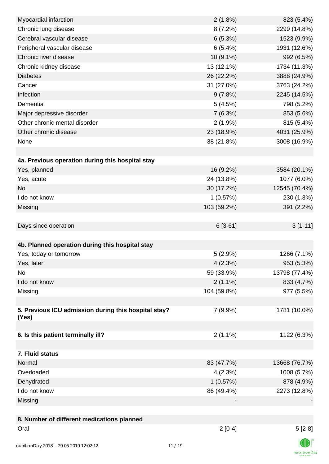| Myocardial infarction                                | 2(1.8%)     | 823 (5.4%)    |
|------------------------------------------------------|-------------|---------------|
| Chronic lung disease                                 | 8(7.2%)     | 2299 (14.8%)  |
| Cerebral vascular disease                            | 6(5.3%)     | 1523 (9.9%)   |
| Peripheral vascular disease                          | 6(5.4%)     | 1931 (12.6%)  |
| Chronic liver disease                                | 10 (9.1%)   | 992 (6.5%)    |
| Chronic kidney disease                               | 13 (12.1%)  | 1734 (11.3%)  |
| <b>Diabetes</b>                                      | 26 (22.2%)  | 3888 (24.9%)  |
| Cancer                                               | 31 (27.0%)  | 3763 (24.2%)  |
| Infection                                            | 9(7.8%)     | 2245 (14.5%)  |
| Dementia                                             | 5(4.5%)     | 798 (5.2%)    |
| Major depressive disorder                            | 7(6.3%)     | 853 (5.6%)    |
| Other chronic mental disorder                        | $2(1.9\%)$  | 815 (5.4%)    |
| Other chronic disease                                | 23 (18.9%)  | 4031 (25.9%)  |
| None                                                 | 38 (21.8%)  | 3008 (16.9%)  |
|                                                      |             |               |
| 4a. Previous operation during this hospital stay     |             |               |
| Yes, planned                                         | 16 (9.2%)   | 3584 (20.1%)  |
| Yes, acute                                           | 24 (13.8%)  | 1077 (6.0%)   |
| <b>No</b>                                            | 30 (17.2%)  | 12545 (70.4%) |
| I do not know                                        | 1(0.57%)    | 230 (1.3%)    |
| Missing                                              | 103 (59.2%) | 391 (2.2%)    |
|                                                      |             |               |
| Days since operation                                 | $6[3-61]$   | $3[1-11]$     |
|                                                      |             |               |
| 4b. Planned operation during this hospital stay      |             |               |
| Yes, today or tomorrow                               | 5(2.9%)     | 1266 (7.1%)   |
| Yes, later                                           | 4(2.3%)     | 953 (5.3%)    |
| No                                                   | 59 (33.9%)  | 13798 (77.4%) |
| I do not know                                        | $2(1.1\%)$  | 833 (4.7%)    |
| Missing                                              | 104 (59.8%) | 977 (5.5%)    |
|                                                      |             |               |
| 5. Previous ICU admission during this hospital stay? | 7(9.9%)     | 1781 (10.0%)  |
| (Yes)                                                |             |               |
|                                                      |             |               |
| 6. Is this patient terminally ill?                   | $2(1.1\%)$  | 1122 (6.3%)   |
|                                                      |             |               |
| 7. Fluid status                                      |             |               |
| Normal                                               | 83 (47.7%)  | 13668 (76.7%) |
| Overloaded                                           | 4(2.3%)     | 1008 (5.7%)   |
| Dehydrated                                           | 1(0.57%)    | 878 (4.9%)    |
| I do not know                                        | 86 (49.4%)  | 2273 (12.8%)  |
| Missing                                              |             |               |
|                                                      |             |               |
| 8. Number of different medications planned           |             |               |
| Oral                                                 | $2[0-4]$    | $5[2-8]$      |
| nutritionDay 2018 - 29.05.2019 12:02:12              | 11/19       |               |
|                                                      |             |               |

nutritionDay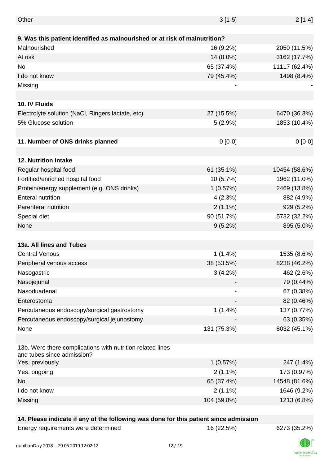| Other                                                                                    | $3[1-5]$    | $2[1-4]$      |
|------------------------------------------------------------------------------------------|-------------|---------------|
|                                                                                          |             |               |
| 9. Was this patient identified as malnourished or at risk of malnutrition?               |             |               |
| Malnourished                                                                             | 16 (9.2%)   | 2050 (11.5%)  |
| At risk                                                                                  | 14 (8.0%)   | 3162 (17.7%)  |
| No                                                                                       | 65 (37.4%)  | 11117 (62.4%) |
| I do not know                                                                            | 79 (45.4%)  | 1498 (8.4%)   |
| Missing                                                                                  |             |               |
|                                                                                          |             |               |
| 10. IV Fluids                                                                            |             |               |
| Electrolyte solution (NaCl, Ringers lactate, etc)                                        | 27 (15.5%)  | 6470 (36.3%)  |
| 5% Glucose solution                                                                      | 5(2.9%)     | 1853 (10.4%)  |
|                                                                                          |             |               |
| 11. Number of ONS drinks planned                                                         | $0[0-0]$    | $0[0-0]$      |
|                                                                                          |             |               |
| 12. Nutrition intake                                                                     |             |               |
| Regular hospital food                                                                    | 61 (35.1%)  | 10454 (58.6%) |
| Fortified/enriched hospital food                                                         | 10 (5.7%)   | 1962 (11.0%)  |
| Protein/energy supplement (e.g. ONS drinks)                                              | 1(0.57%)    | 2469 (13.8%)  |
| <b>Enteral nutrition</b>                                                                 | 4(2.3%)     | 882 (4.9%)    |
| Parenteral nutrition                                                                     | $2(1.1\%)$  | 929 (5.2%)    |
| Special diet                                                                             | 90 (51.7%)  | 5732 (32.2%)  |
| None                                                                                     | $9(5.2\%)$  | 895 (5.0%)    |
|                                                                                          |             |               |
| 13a. All lines and Tubes                                                                 |             |               |
| <b>Central Venous</b>                                                                    | 1(1.4%)     | 1535 (8.6%)   |
| Peripheral venous access                                                                 | 38 (53.5%)  | 8238 (46.2%)  |
| Nasogastric                                                                              | 3(4.2%)     | 462 (2.6%)    |
| Nasojejunal                                                                              |             | 79 (0.44%)    |
| Nasoduadenal                                                                             |             | 67 (0.38%)    |
| Enterostoma                                                                              |             | 82 (0.46%)    |
|                                                                                          | $1(1.4\%)$  | 137 (0.77%)   |
| Percutaneous endoscopy/surgical gastrostomy                                              |             |               |
| Percutaneous endoscopy/surgical jejunostomy                                              |             | 63 (0.35%)    |
| None                                                                                     | 131 (75.3%) | 8032 (45.1%)  |
| 13b. Were there complications with nutrition related lines<br>and tubes since admission? |             |               |
| Yes, previously                                                                          | 1(0.57%)    | 247 (1.4%)    |
| Yes, ongoing                                                                             | $2(1.1\%)$  | 173 (0.97%)   |
| No                                                                                       | 65 (37.4%)  | 14548 (81.6%) |
| I do not know                                                                            | $2(1.1\%)$  | 1646 (9.2%)   |
| Missing                                                                                  | 104 (59.8%) | 1213 (6.8%)   |
|                                                                                          |             |               |

#### **14. Please indicate if any of the following was done for this patient since admission**

Energy requirements were determined 16 (22.5%) 6273 (35.2%)

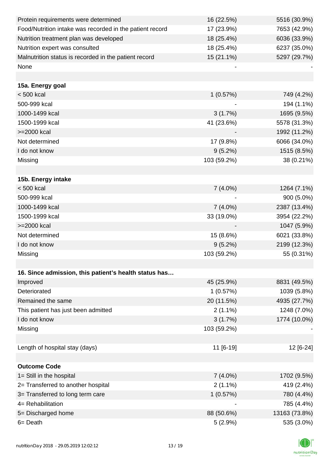| Protein requirements were determined                     | 16 (22.5%)  | 5516 (30.9%)  |
|----------------------------------------------------------|-------------|---------------|
| Food/Nutrition intake was recorded in the patient record | 17 (23.9%)  | 7653 (42.9%)  |
| Nutrition treatment plan was developed                   | 18 (25.4%)  | 6036 (33.9%)  |
| Nutrition expert was consulted                           | 18 (25.4%)  | 6237 (35.0%)  |
| Malnutrition status is recorded in the patient record    | 15 (21.1%)  | 5297 (29.7%)  |
| None                                                     |             |               |
|                                                          |             |               |
| 15a. Energy goal                                         |             |               |
| $< 500$ kcal                                             | 1(0.57%)    | 749 (4.2%)    |
| 500-999 kcal                                             |             | 194 (1.1%)    |
| 1000-1499 kcal                                           | 3(1.7%)     | 1695 (9.5%)   |
| 1500-1999 kcal                                           | 41 (23.6%)  | 5578 (31.3%)  |
| >=2000 kcal                                              |             | 1992 (11.2%)  |
| Not determined                                           | 17 (9.8%)   | 6066 (34.0%)  |
| I do not know                                            | $9(5.2\%)$  | 1515 (8.5%)   |
| Missing                                                  | 103 (59.2%) | 38 (0.21%)    |
|                                                          |             |               |
| 15b. Energy intake                                       |             |               |
| $< 500$ kcal                                             | $7(4.0\%)$  | 1264 (7.1%)   |
| 500-999 kcal                                             |             | 900 (5.0%)    |
| 1000-1499 kcal                                           | $7(4.0\%)$  | 2387 (13.4%)  |
| 1500-1999 kcal                                           | 33 (19.0%)  | 3954 (22.2%)  |
| >=2000 kcal                                              |             | 1047 (5.9%)   |
| Not determined                                           | 15 (8.6%)   | 6021 (33.8%)  |
| I do not know                                            | $9(5.2\%)$  | 2199 (12.3%)  |
| Missing                                                  | 103 (59.2%) | 55 (0.31%)    |
|                                                          |             |               |
| 16. Since admission, this patient's health status has    |             |               |
| Improved                                                 | 45 (25.9%)  | 8831 (49.5%)  |
| Deteriorated                                             | 1(0.57%)    | 1039 (5.8%)   |
| Remained the same                                        | 20 (11.5%)  | 4935 (27.7%)  |
| This patient has just been admitted                      | $2(1.1\%)$  | 1248 (7.0%)   |
| I do not know                                            | 3(1.7%)     | 1774 (10.0%)  |
| Missing                                                  | 103 (59.2%) |               |
|                                                          |             |               |
| Length of hospital stay (days)                           | 11 [6-19]   | 12 [6-24]     |
|                                                          |             |               |
| <b>Outcome Code</b>                                      |             |               |
| 1= Still in the hospital                                 | $7(4.0\%)$  | 1702 (9.5%)   |
| 2= Transferred to another hospital                       | $2(1.1\%)$  | 419 (2.4%)    |
| 3= Transferred to long term care                         | 1(0.57%)    | 780 (4.4%)    |
| 4= Rehabilitation                                        |             | 785 (4.4%)    |
| 5= Discharged home                                       | 88 (50.6%)  | 13163 (73.8%) |
| 6= Death                                                 | 5(2.9%)     | 535 (3.0%)    |

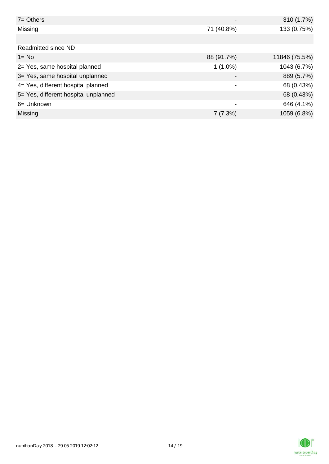| $7 =$ Others                         |                          | 310 (1.7%)    |
|--------------------------------------|--------------------------|---------------|
| Missing                              | 71 (40.8%)               | 133 (0.75%)   |
|                                      |                          |               |
| Readmitted since ND                  |                          |               |
| $1 = No$                             | 88 (91.7%)               | 11846 (75.5%) |
| 2= Yes, same hospital planned        | $1(1.0\%)$               | 1043 (6.7%)   |
| 3= Yes, same hospital unplanned      | $\overline{\phantom{0}}$ | 889 (5.7%)    |
| 4= Yes, different hospital planned   |                          | 68 (0.43%)    |
| 5= Yes, different hospital unplanned | $\overline{\phantom{0}}$ | 68 (0.43%)    |
| 6= Unknown                           | ٠                        | 646 (4.1%)    |
| Missing                              | 7(7.3%)                  | 1059 (6.8%)   |

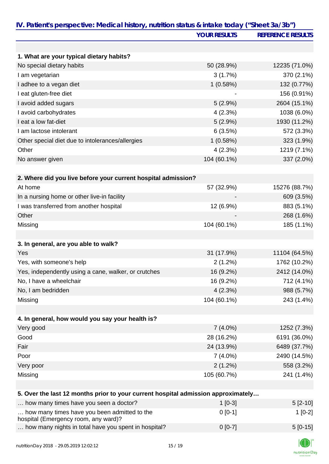|                                                                                      | <b>YOUR RESULTS</b> | <b>REFERENCE RESULTS</b> |
|--------------------------------------------------------------------------------------|---------------------|--------------------------|
|                                                                                      |                     |                          |
| 1. What are your typical dietary habits?                                             |                     |                          |
| No special dietary habits                                                            | 50 (28.9%)          | 12235 (71.0%)            |
| I am vegetarian                                                                      | 3(1.7%)             | 370 (2.1%)               |
| I adhee to a vegan diet                                                              | 1(0.58%)            | 132 (0.77%)              |
| I eat gluten-free diet                                                               |                     | 156 (0.91%)              |
| I avoid added sugars                                                                 | 5(2.9%)             | 2604 (15.1%)             |
| I avoid carbohydrates                                                                | 4(2.3%)             | 1038 (6.0%)              |
| I eat a low fat-diet                                                                 | $5(2.9\%)$          | 1930 (11.2%)             |
| I am lactose intolerant                                                              | 6(3.5%)             | 572 (3.3%)               |
| Other special diet due to intolerances/allergies                                     | 1(0.58%)            | 323 (1.9%)               |
| Other                                                                                | 4(2.3%)             | 1219 (7.1%)              |
| No answer given                                                                      | 104 (60.1%)         | 337 (2.0%)               |
|                                                                                      |                     |                          |
| 2. Where did you live before your current hospital admission?                        |                     |                          |
| At home                                                                              | 57 (32.9%)          | 15276 (88.7%)            |
| In a nursing home or other live-in facility                                          |                     | 609 (3.5%)               |
| I was transferred from another hospital                                              | 12 (6.9%)           | 883 (5.1%)               |
| Other                                                                                |                     | 268 (1.6%)               |
| Missing                                                                              | 104 (60.1%)         | 185 (1.1%)               |
|                                                                                      |                     |                          |
| 3. In general, are you able to walk?                                                 |                     |                          |
| Yes                                                                                  | 31 (17.9%)          | 11104 (64.5%)            |
| Yes, with someone's help                                                             | 2(1.2%)             | 1762 (10.2%)             |
| Yes, independently using a cane, walker, or crutches                                 | 16 (9.2%)           | 2412 (14.0%)             |
| No, I have a wheelchair                                                              | 16 (9.2%)           | 712 (4.1%)               |
| No, I am bedridden                                                                   | 4(2.3%)             | 988 (5.7%)               |
| Missing                                                                              | 104 (60.1%)         | 243 (1.4%)               |
|                                                                                      |                     |                          |
| 4. In general, how would you say your health is?                                     |                     |                          |
| Very good                                                                            | $7(4.0\%)$          | 1252 (7.3%)              |
| Good                                                                                 | 28 (16.2%)          | 6191 (36.0%)             |
| Fair                                                                                 | 24 (13.9%)          | 6489 (37.7%)             |
| Poor                                                                                 | $7(4.0\%)$          | 2490 (14.5%)             |
| Very poor                                                                            | 2(1.2%)             | 558 (3.2%)               |
| Missing                                                                              | 105 (60.7%)         | 241 (1.4%)               |
|                                                                                      |                     |                          |
| 5. Over the last 12 months prior to your current hospital admission approximately    |                     |                          |
| how many times have you seen a doctor?                                               | $1[0-3]$            | $5[2-10]$                |
| how many times have you been admitted to the<br>hospital (Emergency room, any ward)? | $0[0-1]$            | $1[0-2]$                 |
| how many nights in total have you spent in hospital?                                 | $0[0-7]$            | $5[0-15]$                |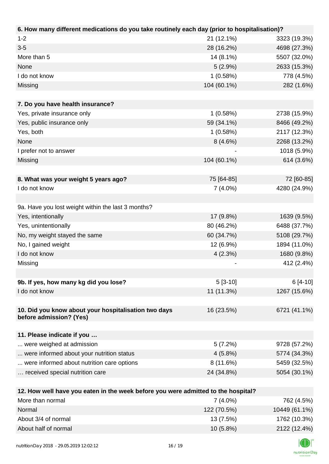| 6. How many different medications do you take routinely each day (prior to hospitalisation)? |             |              |
|----------------------------------------------------------------------------------------------|-------------|--------------|
| $1 - 2$                                                                                      | 21 (12.1%)  | 3323 (19.3%) |
| $3 - 5$                                                                                      | 28 (16.2%)  | 4698 (27.3%) |
| More than 5                                                                                  | 14 (8.1%)   | 5507 (32.0%) |
| None                                                                                         | 5(2.9%)     | 2633 (15.3%) |
| I do not know                                                                                | 1(0.58%)    | 778 (4.5%)   |
| Missing                                                                                      | 104 (60.1%) | 282 (1.6%)   |
|                                                                                              |             |              |
| 7. Do you have health insurance?                                                             |             |              |
| Yes, private insurance only                                                                  | 1(0.58%)    | 2738 (15.9%) |
| Yes, public insurance only                                                                   | 59 (34.1%)  | 8466 (49.2%) |
| Yes, both                                                                                    | 1(0.58%)    | 2117 (12.3%) |
| None                                                                                         | 8(4.6%)     | 2268 (13.2%) |
| I prefer not to answer                                                                       |             | 1018 (5.9%)  |
| Missing                                                                                      | 104 (60.1%) | 614 (3.6%)   |
|                                                                                              |             |              |
| 8. What was your weight 5 years ago?                                                         | 75 [64-85]  | 72 [60-85]   |
| I do not know                                                                                | $7(4.0\%)$  | 4280 (24.9%) |
|                                                                                              |             |              |
| 9a. Have you lost weight within the last 3 months?                                           |             |              |
| Yes, intentionally                                                                           | 17 (9.8%)   | 1639 (9.5%)  |
| Yes, unintentionally                                                                         | 80 (46.2%)  | 6488 (37.7%) |
| No, my weight stayed the same                                                                | 60 (34.7%)  | 5108 (29.7%) |
| No, I gained weight                                                                          | 12 (6.9%)   | 1894 (11.0%) |
| I do not know                                                                                | 4(2.3%)     | 1680 (9.8%)  |
| Missing                                                                                      |             | 412 (2.4%)   |
|                                                                                              |             |              |
| 9b. If yes, how many kg did you lose?                                                        | $5[3-10]$   | $6[4-10]$    |
| I do not know                                                                                | 11 (11.3%)  | 1267 (15.6%) |
|                                                                                              |             |              |
| 10. Did you know about your hospitalisation two days                                         | 16 (23.5%)  | 6721 (41.1%) |
| before admission? (Yes)                                                                      |             |              |
|                                                                                              |             |              |
| 11. Please indicate if you                                                                   |             |              |
| were weighed at admission                                                                    | 5(7.2%)     | 9728 (57.2%) |
| were informed about your nutrition status                                                    | $4(5.8\%)$  | 5774 (34.3%) |
| were informed about nutrition care options                                                   | 8(11.6%)    | 5459 (32.5%) |
| received special nutrition care                                                              | 24 (34.8%)  | 5054 (30.1%) |
|                                                                                              |             |              |
| 12. How well have you eaten in the week before you were admitted to the hospital?            |             |              |
| More than normal                                                                             | $7(4.0\%)$  | 762 (4.5%)   |
| <b>Normal</b>                                                                                | 122(70.5%   | 10110(6110)  |

| Normal               | 122 (70.5%) | 10449 (61.1%) |
|----------------------|-------------|---------------|
| About 3/4 of normal  | 13 (7.5%)   | 1762 (10.3%)  |
| About half of normal | $10(5.8\%)$ | 2122 (12.4%)  |
|                      |             |               |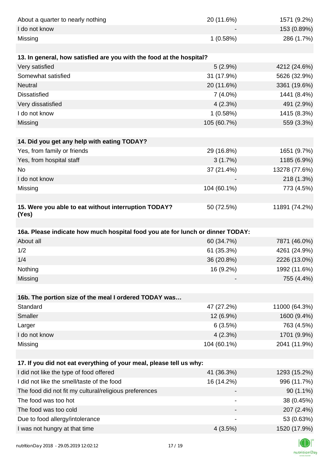| About a quarter to nearly nothing                                              | 20 (11.6%)  | 1571 (9.2%)   |
|--------------------------------------------------------------------------------|-------------|---------------|
| I do not know                                                                  |             | 153 (0.89%)   |
| Missing                                                                        | 1(0.58%)    | 286 (1.7%)    |
|                                                                                |             |               |
| 13. In general, how satisfied are you with the food at the hospital?           |             |               |
| Very satisfied                                                                 | 5(2.9%)     | 4212 (24.6%)  |
| Somewhat satisfied                                                             | 31 (17.9%)  | 5626 (32.9%)  |
| <b>Neutral</b>                                                                 | 20 (11.6%)  | 3361 (19.6%)  |
| <b>Dissatisfied</b>                                                            | $7(4.0\%)$  | 1441 (8.4%)   |
| Very dissatisfied                                                              | 4(2.3%)     | 491 (2.9%)    |
| I do not know                                                                  | 1(0.58%)    | 1415 (8.3%)   |
| Missing                                                                        | 105 (60.7%) | 559 (3.3%)    |
|                                                                                |             |               |
| 14. Did you get any help with eating TODAY?                                    |             |               |
| Yes, from family or friends                                                    | 29 (16.8%)  | 1651 (9.7%)   |
| Yes, from hospital staff                                                       | 3(1.7%)     | 1185 (6.9%)   |
| No                                                                             | 37 (21.4%)  | 13278 (77.6%) |
| I do not know                                                                  |             | 218 (1.3%)    |
| Missing                                                                        | 104 (60.1%) | 773 (4.5%)    |
|                                                                                |             |               |
| 15. Were you able to eat without interruption TODAY?<br>(Yes)                  | 50 (72.5%)  | 11891 (74.2%) |
|                                                                                |             |               |
| 16a. Please indicate how much hospital food you ate for lunch or dinner TODAY: |             |               |
| About all                                                                      | 60 (34.7%)  | 7871 (46.0%)  |
| 1/2                                                                            | 61 (35.3%)  | 4261 (24.9%)  |
| 1/4                                                                            | 36 (20.8%)  | 2226 (13.0%)  |
| Nothing                                                                        | 16 (9.2%)   | 1992 (11.6%)  |
| Missing                                                                        |             | 755 (4.4%)    |
|                                                                                |             |               |
| 16b. The portion size of the meal I ordered TODAY was                          |             |               |
| Standard                                                                       | 47 (27.2%)  | 11000 (64.3%) |
| Smaller                                                                        | 12 (6.9%)   | 1600 (9.4%)   |
| Larger                                                                         | 6(3.5%)     | 763 (4.5%)    |
| I do not know                                                                  | 4(2.3%)     | 1701 (9.9%)   |
| Missing                                                                        | 104 (60.1%) | 2041 (11.9%)  |
|                                                                                |             |               |
| 17. If you did not eat everything of your meal, please tell us why:            |             |               |
| I did not like the type of food offered                                        | 41 (36.3%)  | 1293 (15.2%)  |
| I did not like the smell/taste of the food                                     | 16 (14.2%)  | 996 (11.7%)   |
| The food did not fit my cultural/religious preferences                         |             | $90(1.1\%)$   |
| The food was too hot                                                           |             | 38 (0.45%)    |
| The food was too cold                                                          |             | 207 (2.4%)    |
| Due to food allergy/intolerance                                                |             | 53 (0.63%)    |
| I was not hungry at that time                                                  | 4(3.5%)     | 1520 (17.9%)  |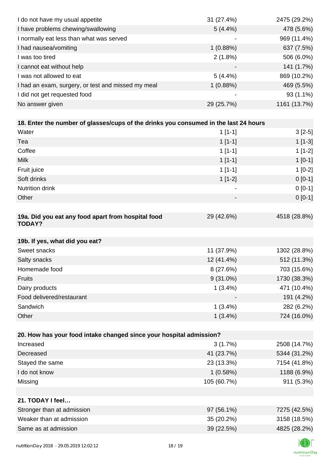| I do not have my usual appetite                                                      | 31 (27.4%)                   | 2475 (29.2%) |
|--------------------------------------------------------------------------------------|------------------------------|--------------|
| I have problems chewing/swallowing                                                   | $5(4.4\%)$                   | 478 (5.6%)   |
| I normally eat less than what was served                                             |                              | 969 (11.4%)  |
| I had nausea/vomiting                                                                | 1(0.88%)                     | 637 (7.5%)   |
| I was too tired                                                                      | $2(1.8\%)$                   | 506 (6.0%)   |
| I cannot eat without help                                                            |                              | 141 (1.7%)   |
| I was not allowed to eat                                                             | 5(4.4%)                      | 869 (10.2%)  |
| I had an exam, surgery, or test and missed my meal                                   | 1(0.88%)                     | 469 (5.5%)   |
| I did not get requested food                                                         |                              | 93 (1.1%)    |
| No answer given                                                                      | 29 (25.7%)                   | 1161 (13.7%) |
|                                                                                      |                              |              |
| 18. Enter the number of glasses/cups of the drinks you consumed in the last 24 hours |                              |              |
| Water                                                                                | $1[1-1]$                     | $3[2-5]$     |
| Tea                                                                                  | $1[1-1]$                     | $1[1-3]$     |
| Coffee                                                                               | $1[1-1]$                     | $1[1-2]$     |
| <b>Milk</b>                                                                          | $1[1-1]$                     | $1[0-1]$     |
| Fruit juice                                                                          | $1[1-1]$                     | $1[0-2]$     |
| Soft drinks                                                                          | $1[1-2]$                     | $0 [0-1]$    |
| Nutrition drink                                                                      | $\qquad \qquad \blacksquare$ | $0 [0-1]$    |
| Other                                                                                |                              | $0 [0-1]$    |
|                                                                                      |                              |              |
| 19a. Did you eat any food apart from hospital food<br><b>TODAY?</b>                  | 29 (42.6%)                   | 4518 (28.8%) |
| 19b. If yes, what did you eat?                                                       |                              |              |
| Sweet snacks                                                                         | 11 (37.9%)                   | 1302 (28.8%) |
| Salty snacks                                                                         | 12 (41.4%)                   | 512 (11.3%)  |
| Homemade food                                                                        | 8(27.6%)                     | 703 (15.6%)  |
| <b>Fruits</b>                                                                        | $9(31.0\%)$                  | 1730 (38.3%) |
| Dairy products                                                                       | $1(3.4\%)$                   | 471 (10.4%)  |
| Food delivered/restaurant                                                            |                              | 191 (4.2%)   |
| Sandwich                                                                             | $1(3.4\%)$                   | 282 (6.2%)   |
| Other                                                                                | $1(3.4\%)$                   | 724 (16.0%)  |
|                                                                                      |                              |              |
| 20. How has your food intake changed since your hospital admission?                  |                              |              |
| Increased                                                                            | 3(1.7%)                      | 2508 (14.7%) |
| Decreased                                                                            | 41 (23.7%)                   | 5344 (31.2%) |
| Stayed the same                                                                      | 23 (13.3%)                   | 7154 (41.8%) |
| I do not know                                                                        | 1(0.58%)                     | 1188 (6.9%)  |
| Missing                                                                              | 105 (60.7%)                  | 911 (5.3%)   |
| 21. TODAY I feel                                                                     |                              |              |
| Stronger than at admission                                                           | 97 (56.1%)                   | 7275 (42.5%) |
| Weaker than at admission                                                             | 35 (20.2%)                   | 3158 (18.5%) |
| Same as at admission                                                                 | 39 (22.5%)                   | 4825 (28.2%) |
|                                                                                      |                              |              |